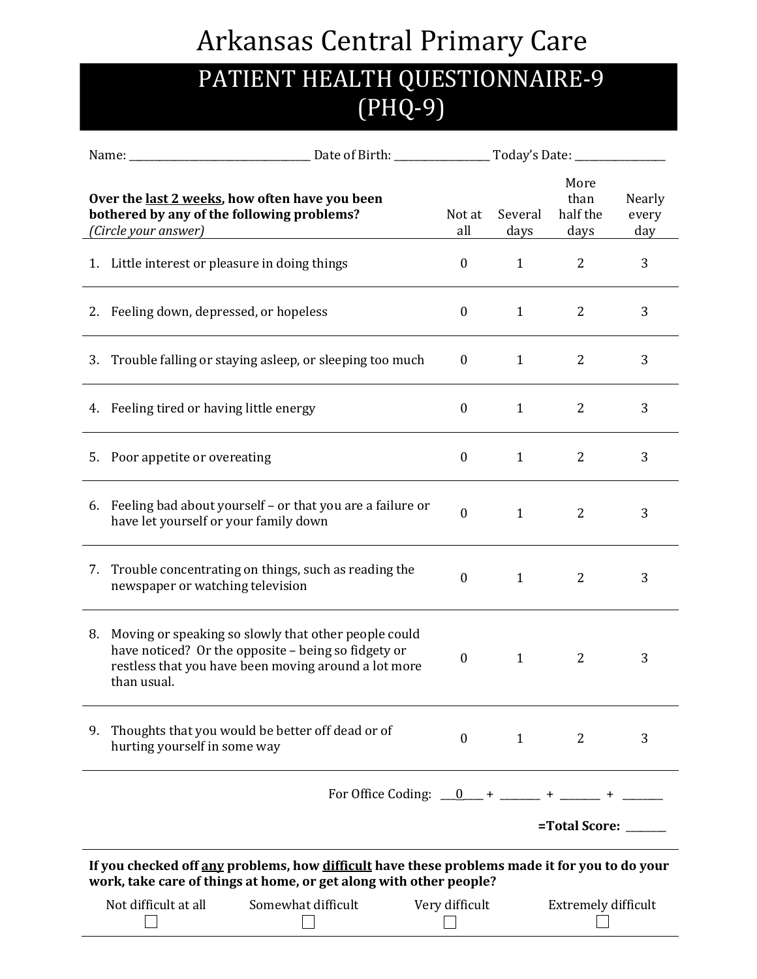## Arkansas Central Primary Care

## PATIENT HEALTH QUESTIONNAIRE-9 (PHQ-9)

|                                                                                                                                                                     | Name: _                                        |                                                                                                                                                                     |                  |                                  |                        |   |  |
|---------------------------------------------------------------------------------------------------------------------------------------------------------------------|------------------------------------------------|---------------------------------------------------------------------------------------------------------------------------------------------------------------------|------------------|----------------------------------|------------------------|---|--|
| Over the last 2 weeks, how often have you been<br>bothered by any of the following problems?<br>(Circle your answer)                                                |                                                | Not at<br>all                                                                                                                                                       | Several<br>days  | More<br>than<br>half the<br>days | Nearly<br>every<br>day |   |  |
|                                                                                                                                                                     | 1. Little interest or pleasure in doing things |                                                                                                                                                                     | $\boldsymbol{0}$ | $\mathbf{1}$                     | $\overline{2}$         | 3 |  |
|                                                                                                                                                                     | 2. Feeling down, depressed, or hopeless        |                                                                                                                                                                     | $\boldsymbol{0}$ | $\mathbf{1}$                     | $\overline{2}$         | 3 |  |
|                                                                                                                                                                     |                                                | 3. Trouble falling or staying asleep, or sleeping too much                                                                                                          | $\mathbf{0}$     | 1                                | $\overline{2}$         | 3 |  |
|                                                                                                                                                                     | 4. Feeling tired or having little energy       |                                                                                                                                                                     | $\boldsymbol{0}$ | $\mathbf{1}$                     | $\overline{2}$         | 3 |  |
|                                                                                                                                                                     | 5. Poor appetite or overeating                 |                                                                                                                                                                     | $\boldsymbol{0}$ | $\mathbf{1}$                     | $\overline{2}$         | 3 |  |
|                                                                                                                                                                     | have let yourself or your family down          | 6. Feeling bad about yourself – or that you are a failure or                                                                                                        | $\boldsymbol{0}$ | $\mathbf{1}$                     | $\overline{2}$         | 3 |  |
| 7.                                                                                                                                                                  | newspaper or watching television               | Trouble concentrating on things, such as reading the                                                                                                                | $\boldsymbol{0}$ | $\mathbf{1}$                     | $\overline{2}$         | 3 |  |
| 8.                                                                                                                                                                  | than usual.                                    | Moving or speaking so slowly that other people could<br>have noticed? Or the opposite - being so fidgety or<br>restless that you have been moving around a lot more | $\boldsymbol{0}$ | 1                                | $\overline{2}$         | 3 |  |
|                                                                                                                                                                     | hurting yourself in some way                   | 9. Thoughts that you would be better off dead or of                                                                                                                 | $\mathbf{0}$     | 1                                | 2                      | 3 |  |
|                                                                                                                                                                     |                                                |                                                                                                                                                                     |                  |                                  |                        |   |  |
|                                                                                                                                                                     | =Total Score:                                  |                                                                                                                                                                     |                  |                                  |                        |   |  |
| If you checked off any problems, how difficult have these problems made it for you to do your<br>work, take care of things at home, or get along with other people? |                                                |                                                                                                                                                                     |                  |                                  |                        |   |  |
|                                                                                                                                                                     | Not difficult at all                           | Somewhat difficult                                                                                                                                                  | Very difficult   |                                  | Extremely difficult    |   |  |